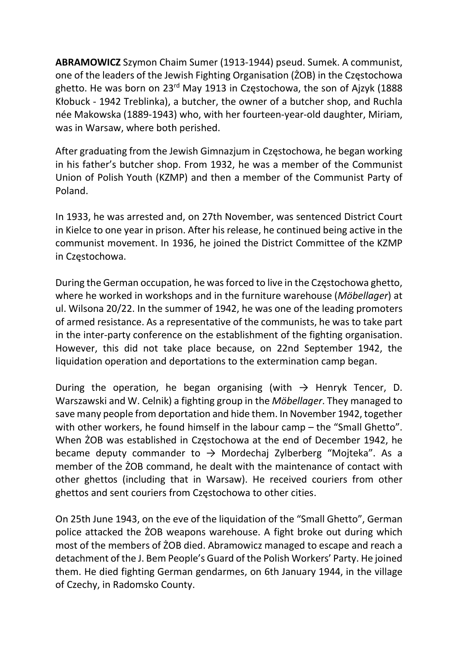ABRAMOWICZ Szymon Chaim Sumer (1913-1944) pseud. Sumek. A communist, one of the leaders of the Jewish Fighting Organisation (ŻOB) in the Częstochowa ghetto. He was born on 23rd May 1913 in Częstochowa, the son of Ajzyk (1888 Kłobuck - 1942 Treblinka), a butcher, the owner of a butcher shop, and Ruchla née Makowska (1889-1943) who, with her fourteen-year-old daughter, Miriam, was in Warsaw, where both perished.

After graduating from the Jewish Gimnazjum in Częstochowa, he began working in his father's butcher shop. From 1932, he was a member of the Communist Union of Polish Youth (KZMP) and then a member of the Communist Party of Poland.

In 1933, he was arrested and, on 27th November, was sentenced District Court in Kielce to one year in prison. After his release, he continued being active in the communist movement. In 1936, he joined the District Committee of the KZMP in Częstochowa.

During the German occupation, he was forced to live in the Częstochowa ghetto, where he worked in workshops and in the furniture warehouse (Möbellager) at ul. Wilsona 20/22. In the summer of 1942, he was one of the leading promoters of armed resistance. As a representative of the communists, he was to take part in the inter-party conference on the establishment of the fighting organisation. However, this did not take place because, on 22nd September 1942, the liquidation operation and deportations to the extermination camp began.

During the operation, he began organising (with  $\rightarrow$  Henryk Tencer, D. Warszawski and W. Celnik) a fighting group in the Möbellager. They managed to save many people from deportation and hide them. In November 1942, together with other workers, he found himself in the labour camp – the "Small Ghetto". When ŻOB was established in Częstochowa at the end of December 1942, he became deputy commander to  $\rightarrow$  Mordechaj Zylberberg "Mojteka". As a member of the ŻOB command, he dealt with the maintenance of contact with other ghettos (including that in Warsaw). He received couriers from other ghettos and sent couriers from Częstochowa to other cities.

On 25th June 1943, on the eve of the liquidation of the "Small Ghetto", German police attacked the ŻOB weapons warehouse. A fight broke out during which most of the members of ŻOB died. Abramowicz managed to escape and reach a detachment of the J. Bem People's Guard of the Polish Workers' Party. He joined them. He died fighting German gendarmes, on 6th January 1944, in the village of Czechy, in Radomsko County.